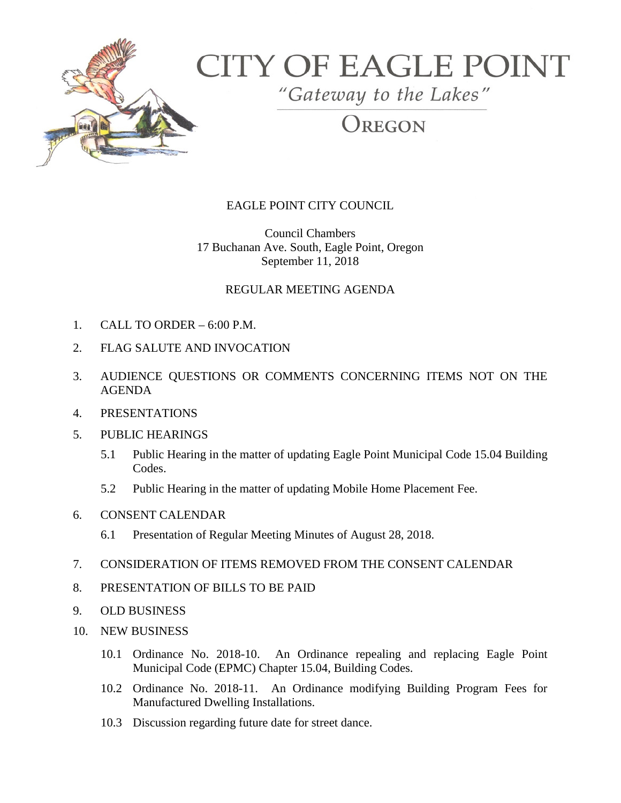

# **CITY OF EAGLE POINT**

"Gateway to the Lakes"

## REGON

### EAGLE POINT CITY COUNCIL

Council Chambers 17 Buchanan Ave. South, Eagle Point, Oregon September 11, 2018

#### REGULAR MEETING AGENDA

- 1. CALL TO ORDER 6:00 P.M.
- 2. FLAG SALUTE AND INVOCATION
- 3. AUDIENCE QUESTIONS OR COMMENTS CONCERNING ITEMS NOT ON THE AGENDA
- 4. PRESENTATIONS
- 5. PUBLIC HEARINGS
	- 5.1 Public Hearing in the matter of updating Eagle Point Municipal Code 15.04 Building Codes.
	- 5.2 Public Hearing in the matter of updating Mobile Home Placement Fee.
- 6. CONSENT CALENDAR
	- 6.1 Presentation of Regular Meeting Minutes of August 28, 2018.
- 7. CONSIDERATION OF ITEMS REMOVED FROM THE CONSENT CALENDAR
- 8. PRESENTATION OF BILLS TO BE PAID
- 9. OLD BUSINESS
- 10. NEW BUSINESS
	- 10.1 Ordinance No. 2018-10. An Ordinance repealing and replacing Eagle Point Municipal Code (EPMC) Chapter 15.04, Building Codes.
	- 10.2 Ordinance No. 2018-11. An Ordinance modifying Building Program Fees for Manufactured Dwelling Installations.
	- 10.3 Discussion regarding future date for street dance.